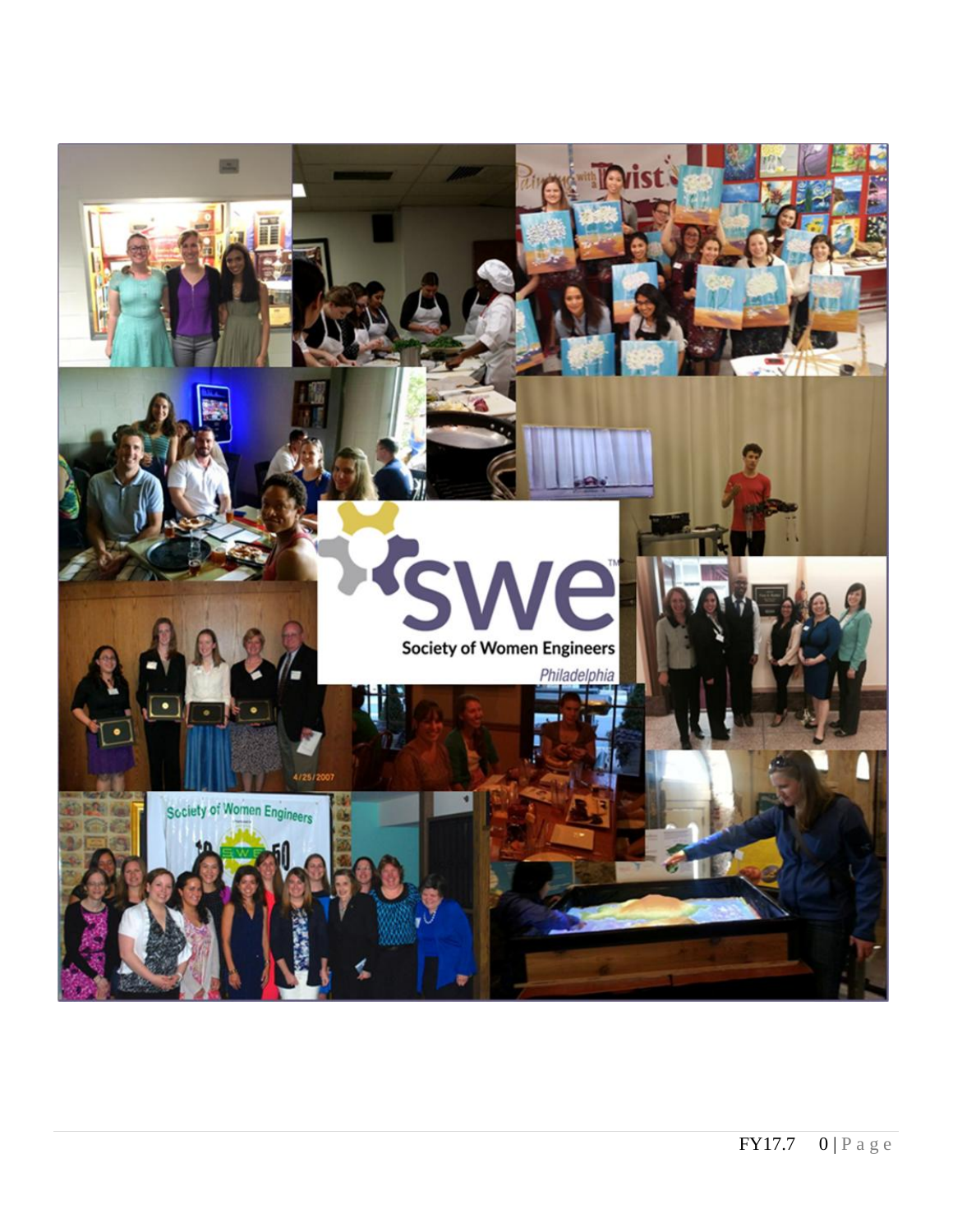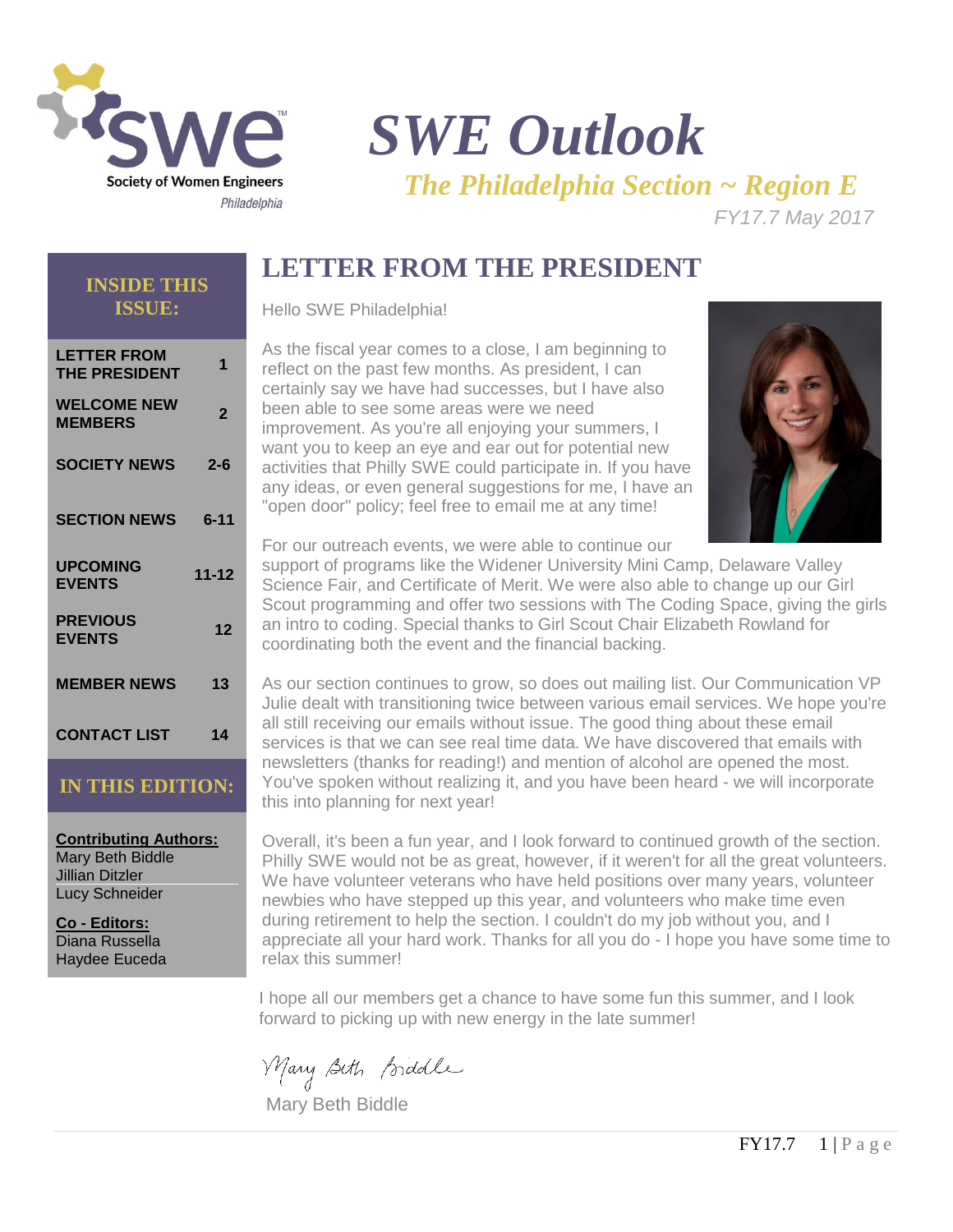

**INSIDE THIS ISSUE:**

# *SWE Outlook*

*The Philadelphia Section ~ Region E*

*FY17.7 May 2017* 

# **LETTER FROM THE PRESIDENT**

Hello SWE Philadelphia!

| <b>LETTER FROM</b><br><b>THE PRESIDENT</b> | 1              |
|--------------------------------------------|----------------|
| <b>WELCOME NEW</b><br><b>MEMBERS</b>       | $\overline{2}$ |
| <b>SOCIETY NEWS</b>                        | $2 - 6$        |
| <b>SECTION NEWS</b>                        | $6 - 11$       |
| <b>UPCOMING</b><br><b>EVENTS</b>           | $11 - 12$      |
| <b>PREVIOUS</b><br><b>EVENTS</b>           | 12             |
| <b>MEMBER NEWS</b>                         | 13             |
| <b>CONTACT LIST</b>                        | 14             |
|                                            |                |

#### **IN THIS EDITION:**

**Contributing Authors:** Mary Beth Biddle Jillian Ditzler Lucy Schneider

**Co - Editors:** Diana Russella Haydee Euceda

As the fiscal year comes to a close, I am beginning to reflect on the past few months. As president, I can certainly say we have had successes, but I have also been able to see some areas were we need improvement. As you're all enjoying your summers, I want you to keep an eye and ear out for potential new activities that Philly SWE could participate in. If you have any ideas, or even general suggestions for me, I have an "open door" policy; feel free to email me at any time!



For our outreach events, we were able to continue our

support of programs like the Widener University Mini Camp, Delaware Valley Science Fair, and Certificate of Merit. We were also able to change up our Girl Scout programming and offer two sessions with The Coding Space, giving the girls an intro to coding. Special thanks to Girl Scout Chair Elizabeth Rowland for coordinating both the event and the financial backing.

As our section continues to grow, so does out mailing list. Our Communication VP Julie dealt with transitioning twice between various email services. We hope you're all still receiving our emails without issue. The good thing about these email services is that we can see real time data. We have discovered that emails with newsletters (thanks for reading!) and mention of alcohol are opened the most. You've spoken without realizing it, and you have been heard - we will incorporate this into planning for next year!

Overall, it's been a fun year, and I look forward to continued growth of the section. Philly SWE would not be as great, however, if it weren't for all the great volunteers. We have volunteer veterans who have held positions over many years, volunteer newbies who have stepped up this year, and volunteers who make time even during retirement to help the section. I couldn't do my job without you, and I appreciate all your hard work. Thanks for all you do - I hope you have some time to relax this summer!

I hope all our members get a chance to have some fun this summer, and I look forward to picking up with new energy in the late summer!

Mary Beth Biddle

Mary Beth Biddle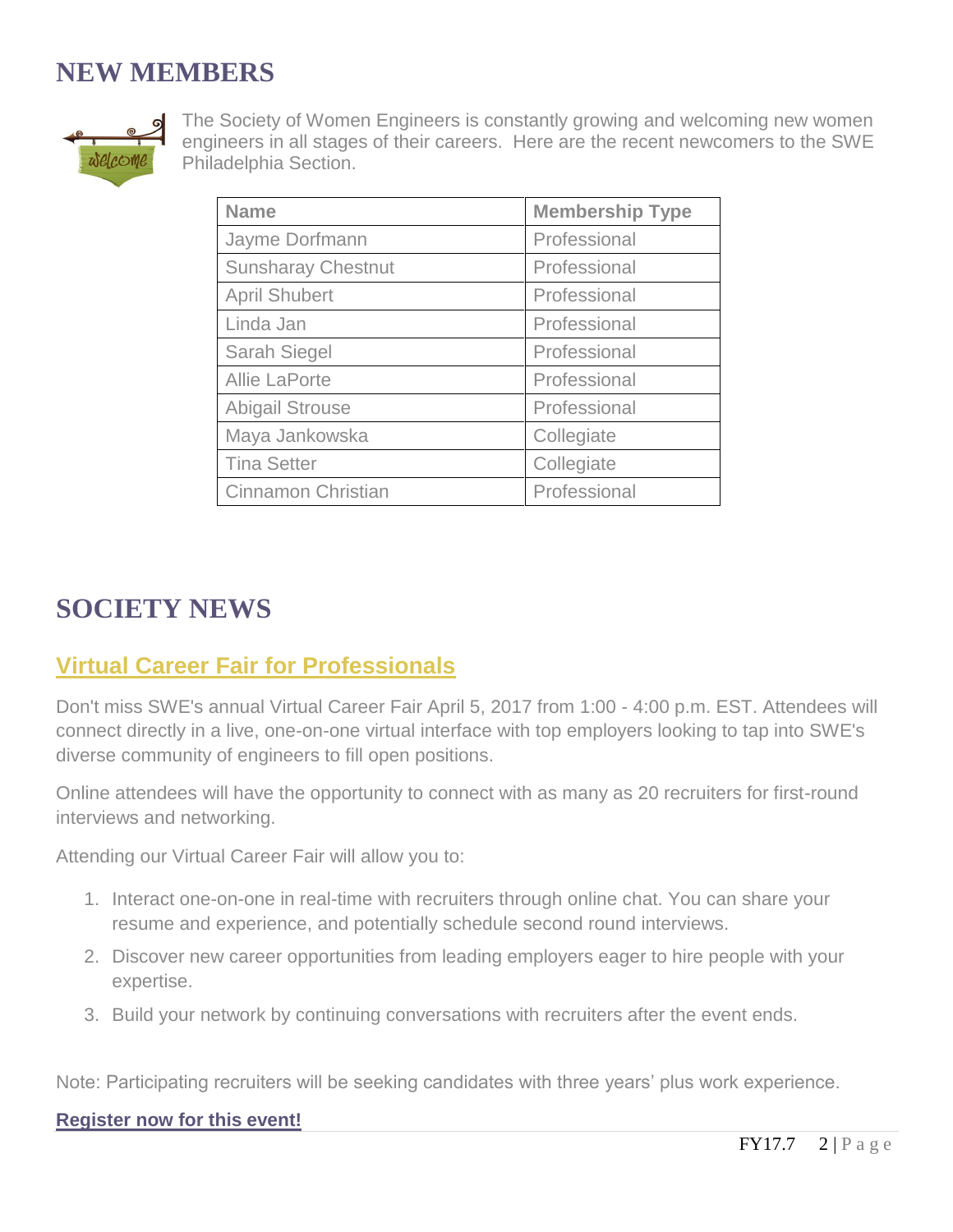# **NEW MEMBERS**



The Society of Women Engineers is constantly growing and welcoming new women engineers in all stages of their careers. Here are the recent newcomers to the SWE Philadelphia Section.

| <b>Name</b>               | <b>Membership Type</b> |
|---------------------------|------------------------|
| Jayme Dorfmann            | Professional           |
| <b>Sunsharay Chestnut</b> | Professional           |
| <b>April Shubert</b>      | Professional           |
| Linda Jan                 | Professional           |
| <b>Sarah Siegel</b>       | Professional           |
| Allie LaPorte             | Professional           |
| <b>Abigail Strouse</b>    | Professional           |
| Maya Jankowska            | Collegiate             |
| <b>Tina Setter</b>        | Collegiate             |
| Cinnamon Christian        | Professional           |

# **SOCIETY NEWS**

## **Virtual Career Fair for Professionals**

Don't miss SWE's annual Virtual Career Fair April 5, 2017 from 1:00 - 4:00 p.m. EST. Attendees will connect directly in a live, one-on-one virtual interface with top employers looking to tap into SWE's diverse community of engineers to fill open positions.

Online attendees will have the opportunity to connect with as many as 20 recruiters for first-round interviews and networking.

Attending our Virtual Career Fair will allow you to:

- 1. Interact one-on-one in real-time with recruiters through online chat. You can share your resume and experience, and potentially schedule second round interviews.
- 2. Discover new career opportunities from leading employers eager to hire people with your expertise.
- 3. Build your network by continuing conversations with recruiters after the event ends.

Note: Participating recruiters will be seeking candidates with three years' plus work experience.

#### **[Register now for this event!](http://online.swe.org/swessa/ecmssamsganalytics.click_through?p_mail_id=E173173A4280312B1C1998065)**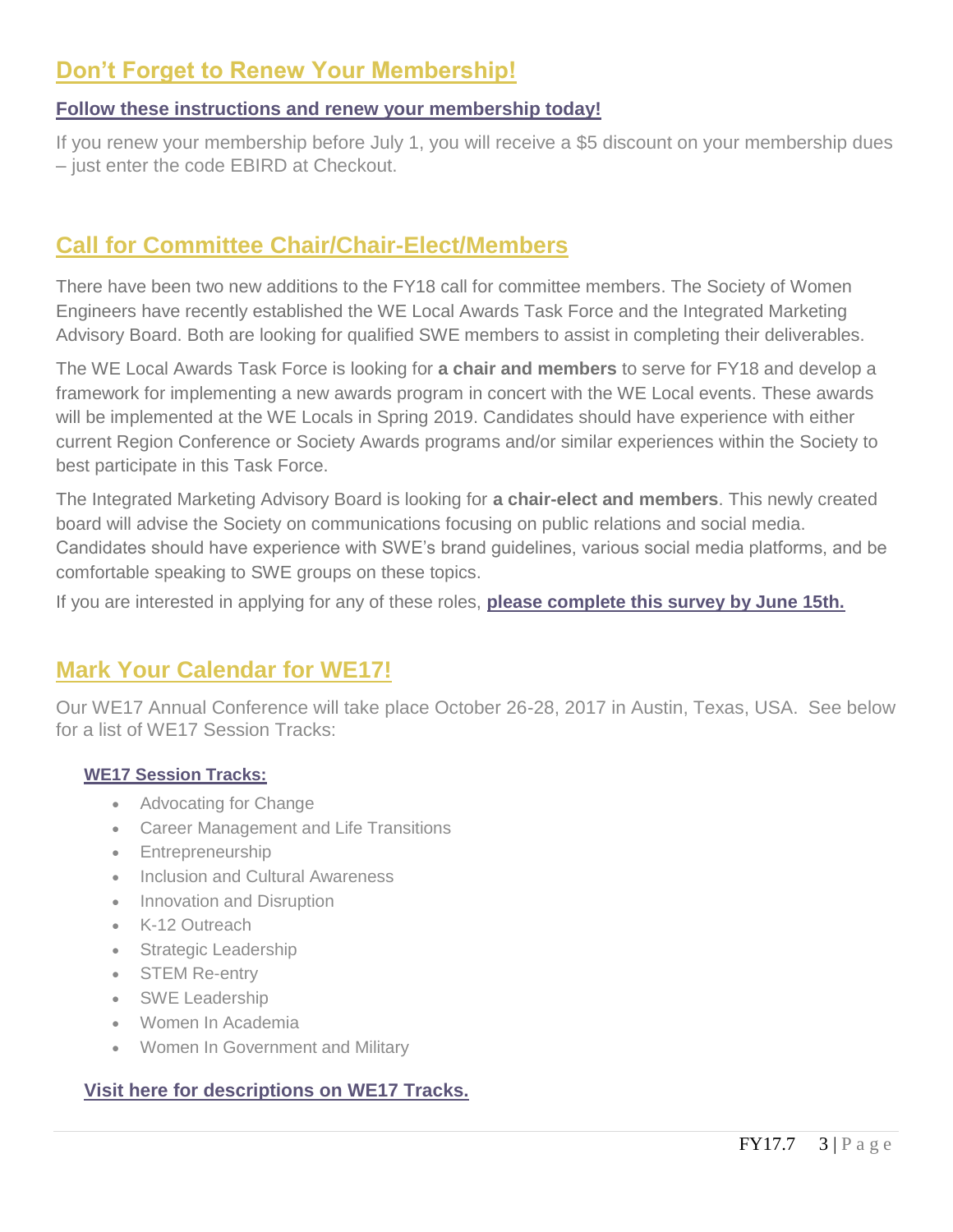## **Don't Forget to Renew Your Membership!**

#### **[Follow these instructions and renew your membership today!](http://online.swe.org/swessa/ecmssamsganalytics.click_through?p_mail_id=E186571A5661541B1C2237683)**

If you renew your membership before July 1, you will receive a \$5 discount on your membership dues – just enter the code EBIRD at Checkout.

## **Call for Committee Chair/Chair-Elect/Members**

There have been two new additions to the FY18 call for committee members. The Society of Women Engineers have recently established the WE Local Awards Task Force and the Integrated Marketing Advisory Board. Both are looking for qualified SWE members to assist in completing their deliverables.

The WE Local Awards Task Force is looking for **a chair and members** to serve for FY18 and develop a framework for implementing a new awards program in concert with the WE Local events. These awards will be implemented at the WE Locals in Spring 2019. Candidates should have experience with either current Region Conference or Society Awards programs and/or similar experiences within the Society to best participate in this Task Force.

The Integrated Marketing Advisory Board is looking for **a chair-elect and members**. This newly created board will advise the Society on communications focusing on public relations and social media. Candidates should have experience with SWE's brand guidelines, various social media platforms, and be comfortable speaking to SWE groups on these topics.

If you are interested in applying for any of these roles, **[please complete this survey by June 15th.](http://online.swe.org/swessa/ecmssamsganalytics.click_through?p_mail_id=E187722A5714755B1C2244046)**

## **Mark Your Calendar for WE17!**

Our WE17 Annual Conference will take place October 26-28, 2017 in Austin, Texas, USA. See below for a list of WE17 Session Tracks:

#### **[WE17 Session Tracks:](http://online.swe.org/swessa/ecmssamsganalytics.click_through?p_mail_id=E160287A3413683B1C1871552)**

- Advocating for Change
- Career Management and Life Transitions
- **•** Entrepreneurship
- Inclusion and Cultural Awareness
- Innovation and Disruption
- K-12 Outreach
- Strategic Leadership
- STEM Re-entry
- SWE Leadership
- Women In Academia
- Women In Government and Military

#### **[Visit here for descriptions on WE17 Tracks.](http://online.swe.org/swessa/ecmssamsganalytics.click_through?p_mail_id=E160287A3413683B1C1871552)**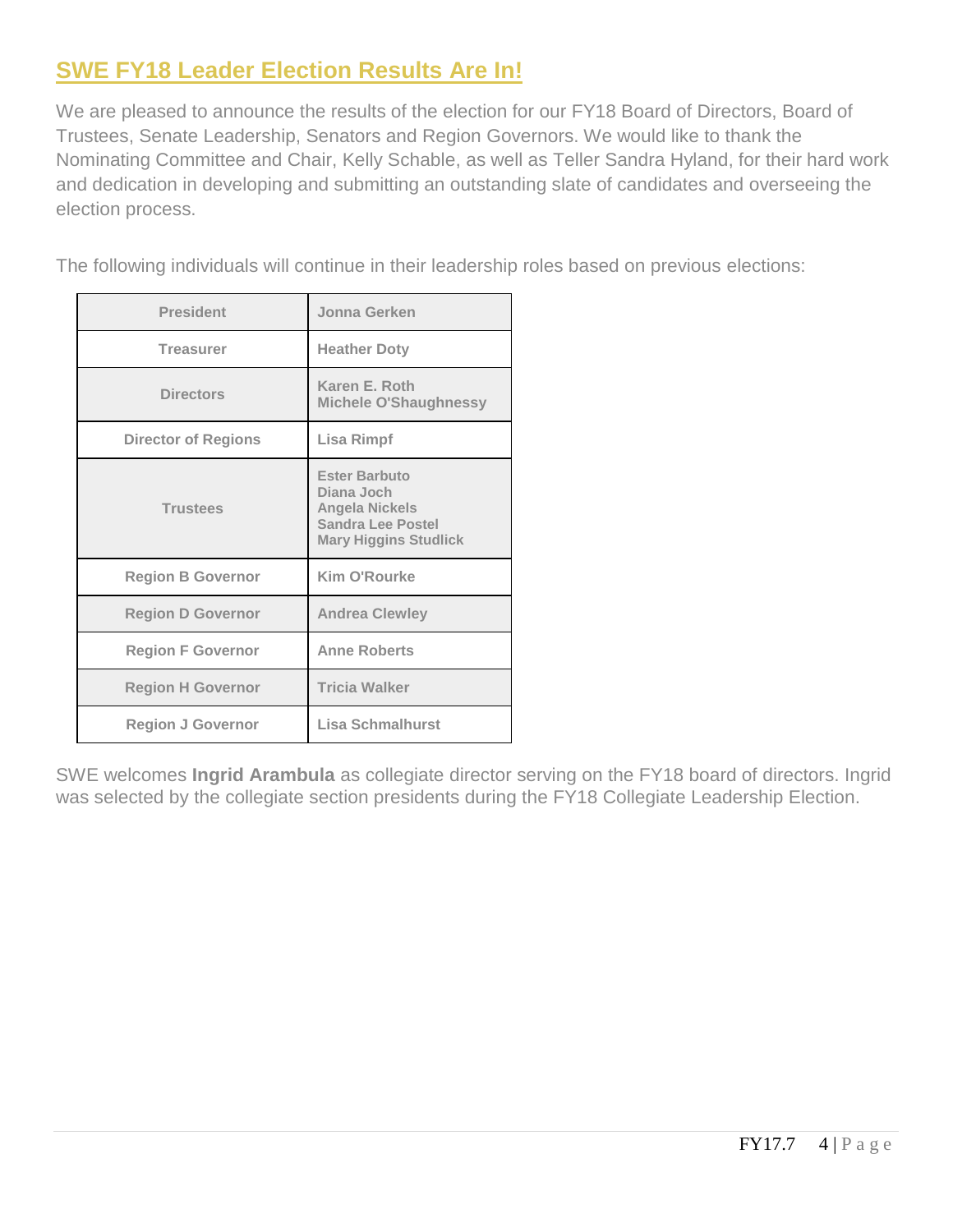## **SWE FY18 Leader Election Results Are In!**

We are pleased to announce the results of the election for our FY18 Board of Directors, Board of Trustees, Senate Leadership, Senators and Region Governors. We would like to thank the Nominating Committee and Chair, Kelly Schable, as well as Teller Sandra Hyland, for their hard work and dedication in developing and submitting an outstanding slate of candidates and overseeing the election process.

The following individuals will continue in their leadership roles based on previous elections:

| <b>President</b>           | Jonna Gerken                                                                                                            |
|----------------------------|-------------------------------------------------------------------------------------------------------------------------|
| <b>Treasurer</b>           | <b>Heather Doty</b>                                                                                                     |
| <b>Directors</b>           | Karen E. Roth<br><b>Michele O'Shaughnessy</b>                                                                           |
| <b>Director of Regions</b> | Lisa Rimpf                                                                                                              |
| <b>Trustees</b>            | <b>Ester Barbuto</b><br>Diana Joch<br><b>Angela Nickels</b><br><b>Sandra Lee Postel</b><br><b>Mary Higgins Studlick</b> |
| <b>Region B Governor</b>   | <b>Kim O'Rourke</b>                                                                                                     |
| <b>Region D Governor</b>   | <b>Andrea Clewley</b>                                                                                                   |
| <b>Region F Governor</b>   | <b>Anne Roberts</b>                                                                                                     |
| <b>Region H Governor</b>   | Tricia Walker                                                                                                           |
| <b>Region J Governor</b>   | Lisa Schmalhurst                                                                                                        |

SWE welcomes **Ingrid Arambula** as collegiate director serving on the FY18 board of directors. Ingrid was selected by the collegiate section presidents during the FY18 Collegiate Leadership Election.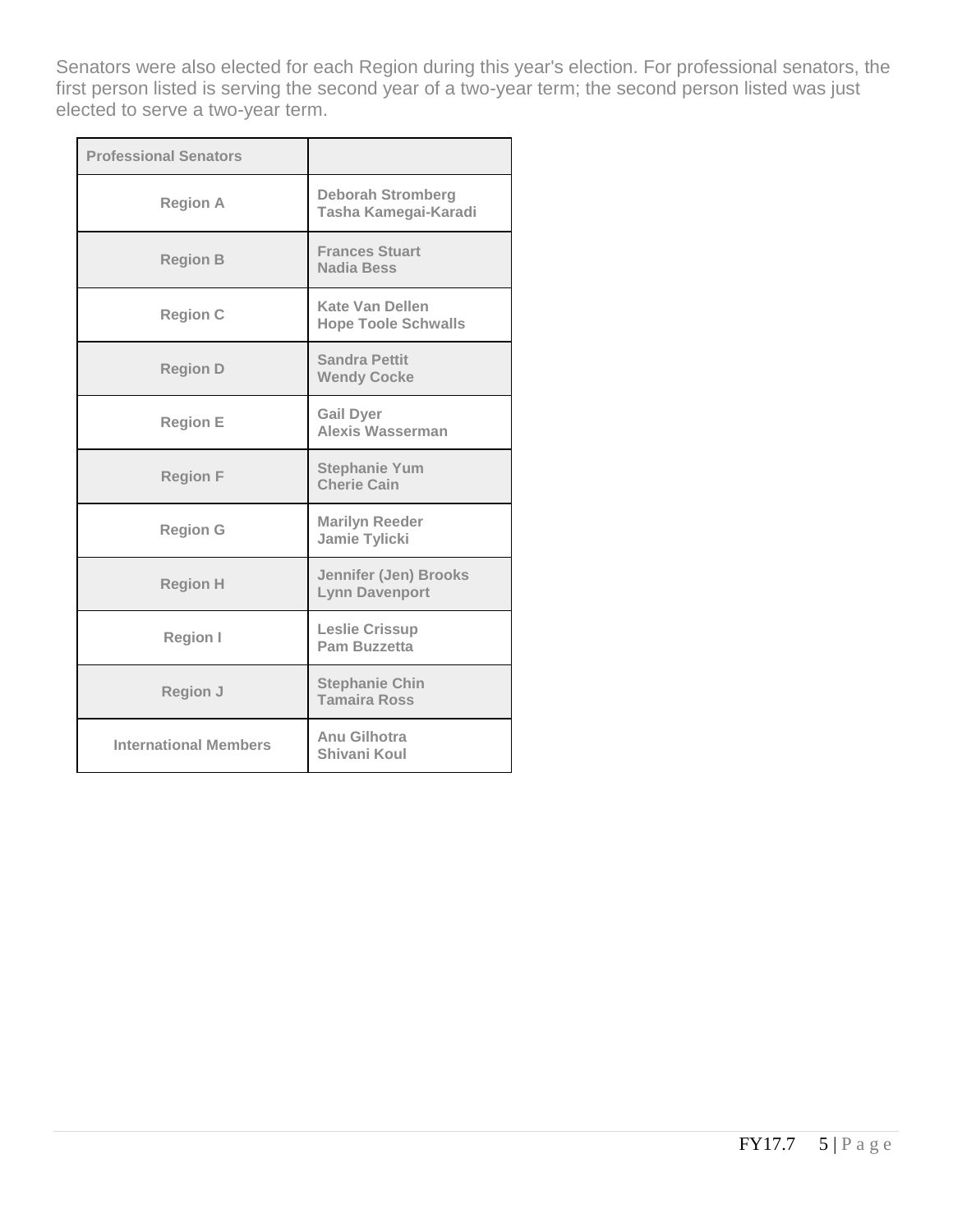Senators were also elected for each Region during this year's election. For professional senators, the first person listed is serving the second year of a two-year term; the second person listed was just elected to serve a two-year term.

| <b>Professional Senators</b> |                                                       |
|------------------------------|-------------------------------------------------------|
| <b>Region A</b>              | <b>Deborah Stromberg</b><br>Tasha Kamegai-Karadi      |
| <b>Region B</b>              | <b>Frances Stuart</b><br><b>Nadia Bess</b>            |
| <b>Region C</b>              | <b>Kate Van Dellen</b><br><b>Hope Toole Schwalls</b>  |
| <b>Region D</b>              | <b>Sandra Pettit</b><br><b>Wendy Cocke</b>            |
| <b>Region E</b>              | <b>Gail Dyer</b><br><b>Alexis Wasserman</b>           |
| <b>Region F</b>              | <b>Stephanie Yum</b><br><b>Cherie Cain</b>            |
| <b>Region G</b>              | <b>Marilyn Reeder</b><br>Jamie Tylicki                |
| <b>Region H</b>              | <b>Jennifer (Jen) Brooks</b><br><b>Lynn Davenport</b> |
| <b>Region I</b>              | <b>Leslie Crissup</b><br>Pam Buzzetta                 |
| <b>Region J</b>              | <b>Stephanie Chin</b><br><b>Tamaira Ross</b>          |
| <b>International Members</b> | Anu Gilhotra<br>Shivani Koul                          |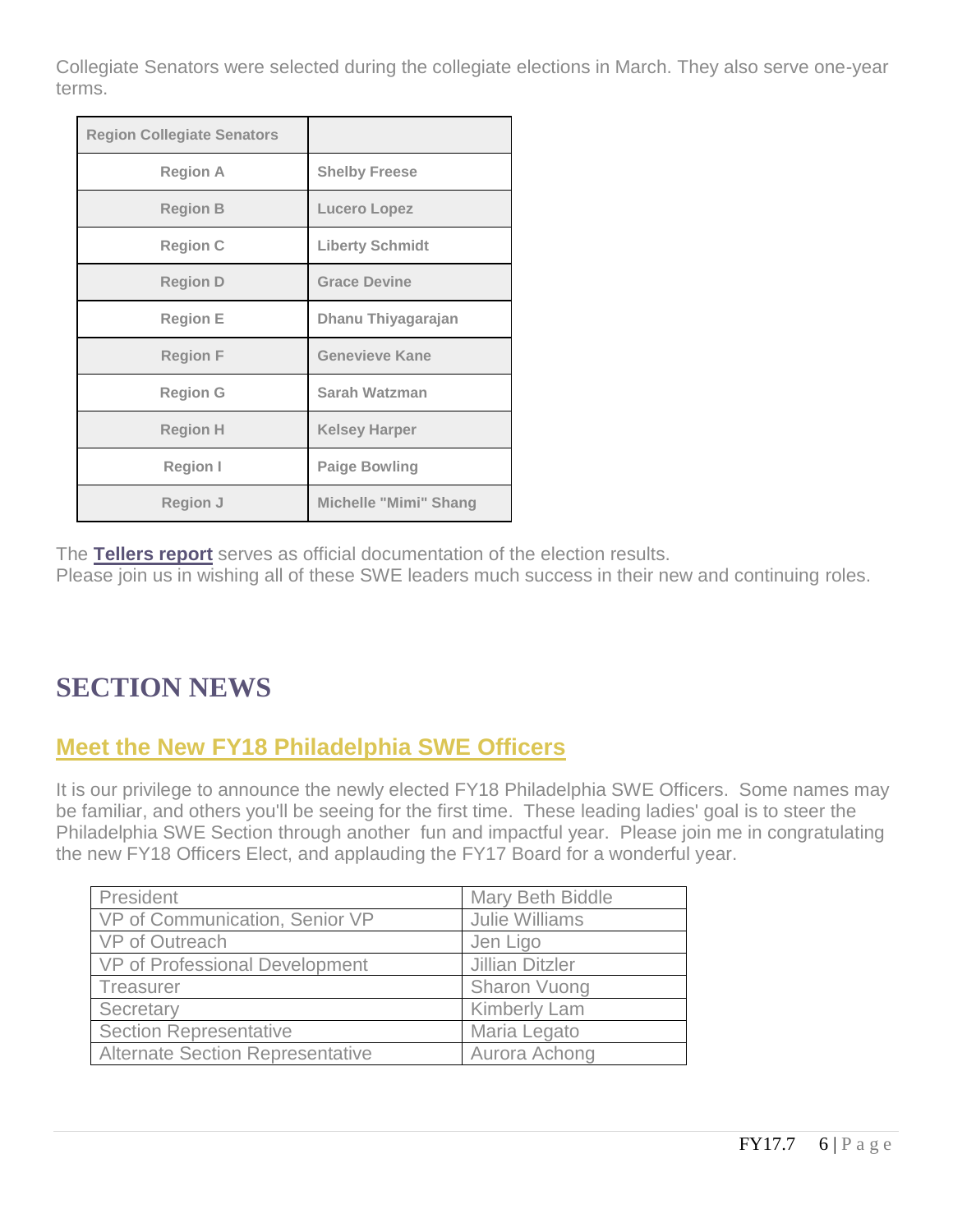Collegiate Senators were selected during the collegiate elections in March. They also serve one-year terms.

| <b>Region Collegiate Senators</b> |                        |
|-----------------------------------|------------------------|
| <b>Region A</b>                   | <b>Shelby Freese</b>   |
| <b>Region B</b>                   | <b>Lucero Lopez</b>    |
| <b>Region C</b>                   | <b>Liberty Schmidt</b> |
| <b>Region D</b>                   | <b>Grace Devine</b>    |
| <b>Region E</b>                   | Dhanu Thiyagarajan     |
| <b>Region F</b>                   | <b>Genevieve Kane</b>  |
| <b>Region G</b>                   | Sarah Watzman          |
| <b>Region H</b>                   | <b>Kelsey Harper</b>   |
| <b>Region I</b>                   | <b>Paige Bowling</b>   |
| <b>Region J</b>                   | Michelle "Mimi" Shang  |

The **[Tellers report](http://online.swe.org/swessa/ecmssamsganalytics.click_through?p_mail_id=E186279A5575362B1C2221505)** serves as official documentation of the election results.

Please join us in wishing all of these SWE leaders much success in their new and continuing roles.

# **SECTION NEWS**

## **Meet the New FY18 Philadelphia SWE Officers**

It is our privilege to announce the newly elected FY18 Philadelphia SWE Officers. Some names may be familiar, and others you'll be seeing for the first time. These leading ladies' goal is to steer the Philadelphia SWE Section through another fun and impactful year. Please join me in congratulating the new FY18 Officers Elect, and applauding the FY17 Board for a wonderful year.

| President                               | Mary Beth Biddle       |
|-----------------------------------------|------------------------|
| VP of Communication, Senior VP          | <b>Julie Williams</b>  |
| VP of Outreach                          | Jen Ligo               |
| VP of Professional Development          | <b>Jillian Ditzler</b> |
| Treasurer                               | Sharon Vuong           |
| Secretary                               | <b>Kimberly Lam</b>    |
| <b>Section Representative</b>           | Maria Legato           |
| <b>Alternate Section Representative</b> | Aurora Achong          |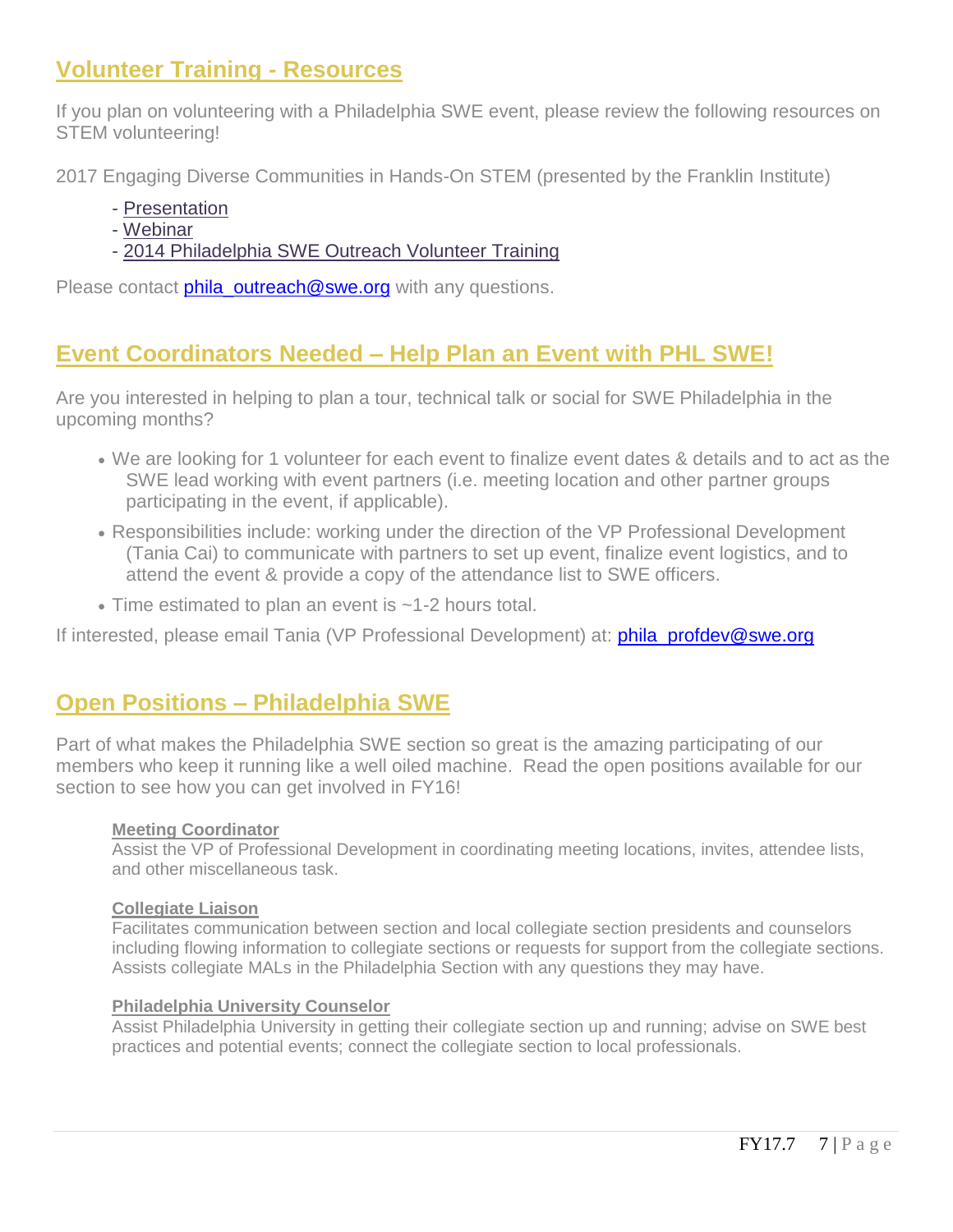## **Volunteer Training - Resources**

If you plan on volunteering with a Philadelphia SWE event, please review the following resources on STEM volunteering!

2017 Engaging Diverse Communities in Hands-On STEM (presented by the Franklin Institute)

- [Presentation](http://r20.rs6.net/tn.jsp?f=001xOXu840DJNqWAtNsj68doxSSaMJqlnOaRypjAPzGXxH_Cu6beFKuHj5RRyTNOoxkN_4_zHGZg8kBwK1oz4hbLfYRWWYIMDqgBUu2jAFiysjW--oUFoPeaAvynW7pId1pcZ_1raV99H9QZZ6VlZKJ2sSEf0FATt8AlCU8rOuozUYknPJS2qfKWc5s2k3KwgXaxi-QOx8jq5DQ5jGNL6vtHV6F2ST8zqewinnn_lfAX-X2zIlm6eTa1uvGwB3SlJKE&c=35evDAJj3oWPyl4VvkRXS5yXW8jlneYF-UufJ1XMka8bzn7qe6-Dfw==&ch=xqjsc6qIRmtq9IboekzvjlanLUSzsrBCM4SPOcZiZuAc0523tqbgFA==)
- [Webinar](http://r20.rs6.net/tn.jsp?f=001xOXu840DJNqWAtNsj68doxSSaMJqlnOaRypjAPzGXxH_Cu6beFKuHj5RRyTNOoxk2vUHOKKTBKTQCZvqEgCVhFIvYcagV9WEPI5-6eb_DGiLSAsCbenG2EQ4Kjr7ZKIn8B4BuDlB0P19p0cJ-Z7ERuhLy2_ZRzWOCQ7VDPm78qGKANYn8AlFo0Q4B6Os9Q0VvUD0eu2fzAGpifGajCt3HZNetL963MPDt0iLgQVF_mM=&c=35evDAJj3oWPyl4VvkRXS5yXW8jlneYF-UufJ1XMka8bzn7qe6-Dfw==&ch=xqjsc6qIRmtq9IboekzvjlanLUSzsrBCM4SPOcZiZuAc0523tqbgFA==)
- [2014 Philadelphia SWE Outreach Volunteer Training](http://r20.rs6.net/tn.jsp?f=001xOXu840DJNqWAtNsj68doxSSaMJqlnOaRypjAPzGXxH_Cu6beFKuHj5RRyTNOoxkyESsq9LFEn3dKYgvhmuMi2IYFSxL5fwVl2h7AsZWmGC6JghICHcs6wB0XiTjI7R9MUQjqFUKojTyaPYRHOY9FX29DU0lQ6FB3te40v4f1-VwE9LuMwqoIcGv2n7wnA-ONMCM-rB9qgSdrbQj9Gk5Z97rbQJflk0uHBoKRecFXbvpQb0Lv13xLg==&c=35evDAJj3oWPyl4VvkRXS5yXW8jlneYF-UufJ1XMka8bzn7qe6-Dfw==&ch=xqjsc6qIRmtq9IboekzvjlanLUSzsrBCM4SPOcZiZuAc0523tqbgFA==)

Please contact [phila\\_outreach@swe.org](mailto:phila_outreach@swe.org) with any questions.

## **Event Coordinators Needed – Help Plan an Event with PHL SWE!**

Are you interested in helping to plan a tour, technical talk or social for SWE Philadelphia in the upcoming months?

- We are looking for 1 volunteer for each event to finalize event dates & details and to act as the SWE lead working with event partners (i.e. meeting location and other partner groups participating in the event, if applicable).
- Responsibilities include: working under the direction of the VP Professional Development (Tania Cai) to communicate with partners to set up event, finalize event logistics, and to attend the event & provide a copy of the attendance list to SWE officers.
- Time estimated to plan an event is ~1-2 hours total.

If interested, please email Tania (VP Professional Development) at: **[phila\\_profdev@swe.org](mailto:phila_profdev@swe.org)** 

## **Open Positions – Philadelphia SWE**

Part of what makes the Philadelphia SWE section so great is the amazing participating of our members who keep it running like a well oiled machine. Read the open positions available for our section to see how you can get involved in FY16!

#### **Meeting Coordinator**

Assist the VP of Professional Development in coordinating meeting locations, invites, attendee lists, and other miscellaneous task.

#### **Collegiate Liaison**

Facilitates communication between section and local collegiate section presidents and counselors including flowing information to collegiate sections or requests for support from the collegiate sections. Assists collegiate MALs in the Philadelphia Section with any questions they may have.

#### **Philadelphia University Counselor**

Assist Philadelphia University in getting their collegiate section up and running; advise on SWE best practices and potential events; connect the collegiate section to local professionals.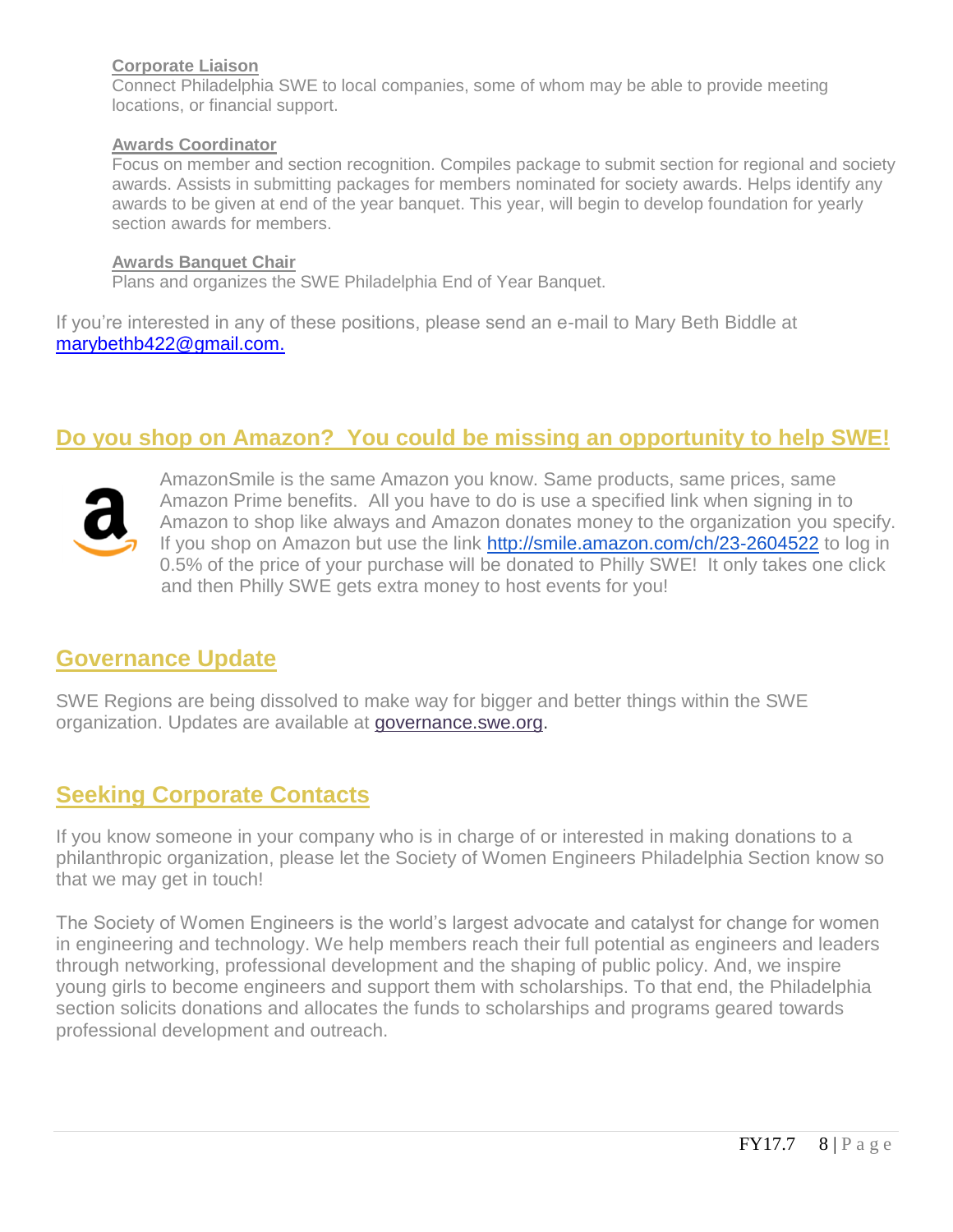#### **Corporate Liaison**

Connect Philadelphia SWE to local companies, some of whom may be able to provide meeting locations, or financial support.

#### **Awards Coordinator**

Focus on member and section recognition. Compiles package to submit section for regional and society awards. Assists in submitting packages for members nominated for society awards. Helps identify any awards to be given at end of the year banquet. This year, will begin to develop foundation for yearly section awards for members.

#### **Awards Banquet Chair**

Plans and organizes the SWE Philadelphia End of Year Banquet.

If you're interested in any of these positions, please send an e-mail to Mary Beth Biddle at [marybethb422@gmail.com.](mailto:marybethb422@gmail.com?subject=Philadelphia%20SWE)

#### **Do you shop on Amazon? You could be missing an opportunity to help SWE!**



AmazonSmile is the same Amazon you know. Same products, same prices, same Amazon Prime benefits. All you have to do is use a specified link when signing in to Amazon to shop like always and Amazon donates money to the organization you specify. If you shop on Amazon but use the link <http://smile.amazon.com/ch/23-2604522> to log in 0.5% of the price of your purchase will be donated to Philly SWE! It only takes one click and then Philly SWE gets extra money to host events for you!

#### **Governance Update**

SWE Regions are being dissolved to make way for bigger and better things within the SWE organization. Updates are available at [governance.swe.org.](http://r20.rs6.net/tn.jsp?f=00187RGNsSt6TSgHXMZsLcTW1Pj20qShDcpYxWdAXRIpKg5QynKVfs4pSH2XT42iBR1tG37WLlKbF_DJ2IsedExL5Q5Tu4XSgcYmysSuV_O5FHZCBcNvz5eFOGimu-8u6n5WVxFHzR_lS_RMk-qffTYzg==&c=mpu2B0LXSgIXEs_wwhkL9p78Hsv9VS5oK9FKjmRzgQcgP31yoS9HCw==&ch=QDy16iykvPBlAX8vVFXrX_rP9QYbcYWZ_TpMS5loHOgB1b-yV2EHvQ==)

## **Seeking Corporate Contacts**

If you know someone in your company who is in charge of or interested in making donations to a philanthropic organization, please let the Society of Women Engineers Philadelphia Section know so that we may get in touch!

The Society of Women Engineers is the world's largest advocate and catalyst for change for women in engineering and technology. We help members reach their full potential as engineers and leaders through networking, professional development and the shaping of public policy. And, we inspire young girls to become engineers and support them with scholarships. To that end, the Philadelphia section solicits donations and allocates the funds to scholarships and programs geared towards professional development and outreach.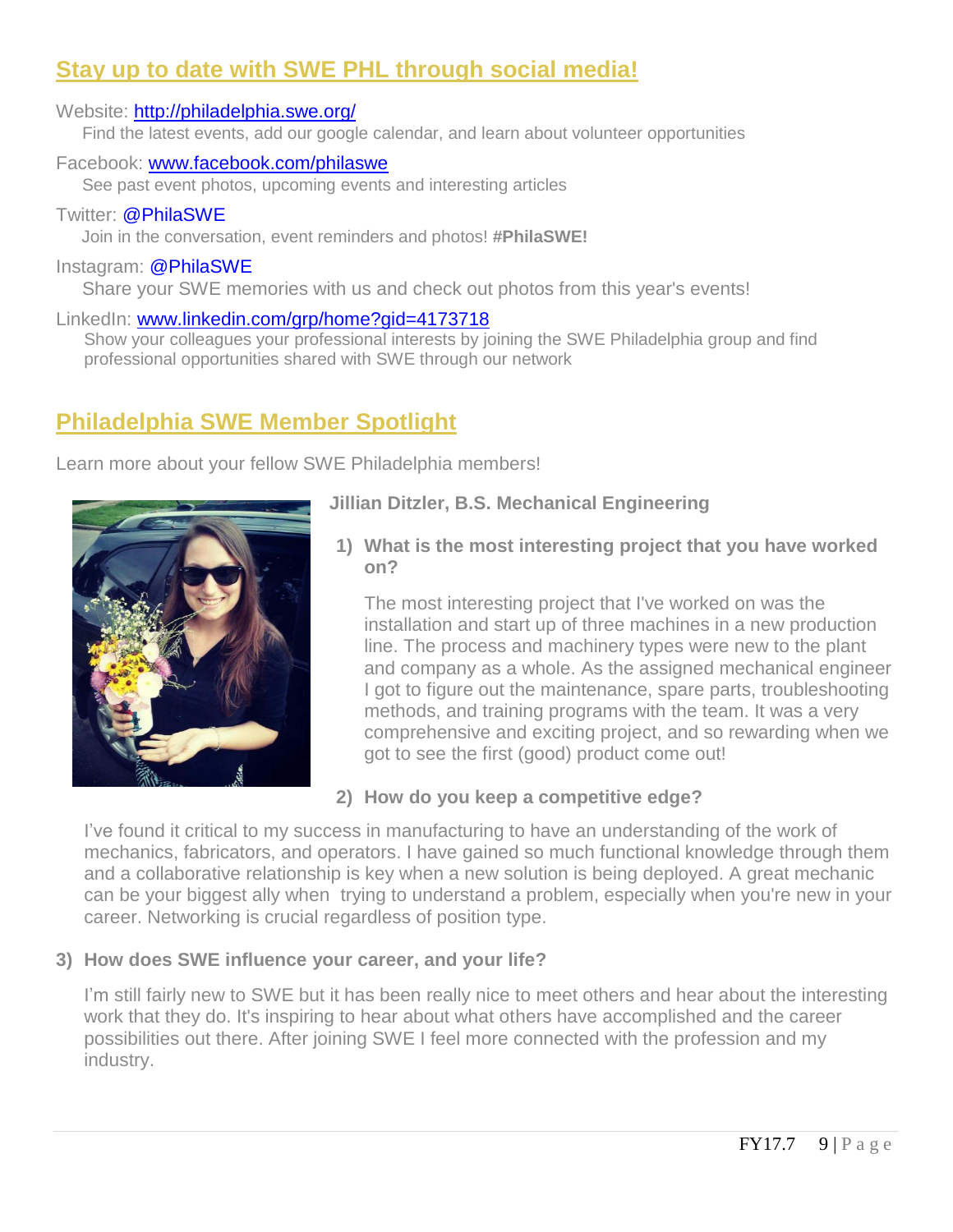## **Stay up to date with SWE PHL through social media!**

#### Website: <http://philadelphia.swe.org/>

Find the latest events, add our google calendar, and learn about volunteer opportunities

Facebook: [www.facebook.com/philaswe](http://www.facebook.com/philaswe)

See past event photos, upcoming events and interesting articles

Twitter: @PhilaSWE Join in the conversation, event reminders and photos! **#PhilaSWE!**

#### Instagram: @PhilaSWE

Share your SWE memories with us and check out photos from this year's events!

#### LinkedIn: [www.linkedin.com/grp/home?gid=4173718](http://www.linkedin.com/grp/home?gid=4173718)

Show your colleagues your professional interests by joining the SWE Philadelphia group and find professional opportunities shared with SWE through our network

## **Philadelphia SWE Member Spotlight**

Learn more about your fellow SWE Philadelphia members!



**Jillian Ditzler, B.S. Mechanical Engineering**

**1) What is the most interesting project that you have worked on?** 

The most interesting project that I've worked on was the installation and start up of three machines in a new production line. The process and machinery types were new to the plant and company as a whole. As the assigned mechanical engineer I got to figure out the maintenance, spare parts, troubleshooting methods, and training programs with the team. It was a very comprehensive and exciting project, and so rewarding when we got to see the first (good) product come out!

**2) How do you keep a competitive edge?**

I've found it critical to my success in manufacturing to have an understanding of the work of mechanics, fabricators, and operators. I have gained so much functional knowledge through them and a collaborative relationship is key when a new solution is being deployed. A great mechanic can be your biggest ally when trying to understand a problem, especially when you're new in your career. Networking is crucial regardless of position type.

#### **3) How does SWE influence your career, and your life?**

I'm still fairly new to SWE but it has been really nice to meet others and hear about the interesting work that they do. It's inspiring to hear about what others have accomplished and the career possibilities out there. After joining SWE I feel more connected with the profession and my industry.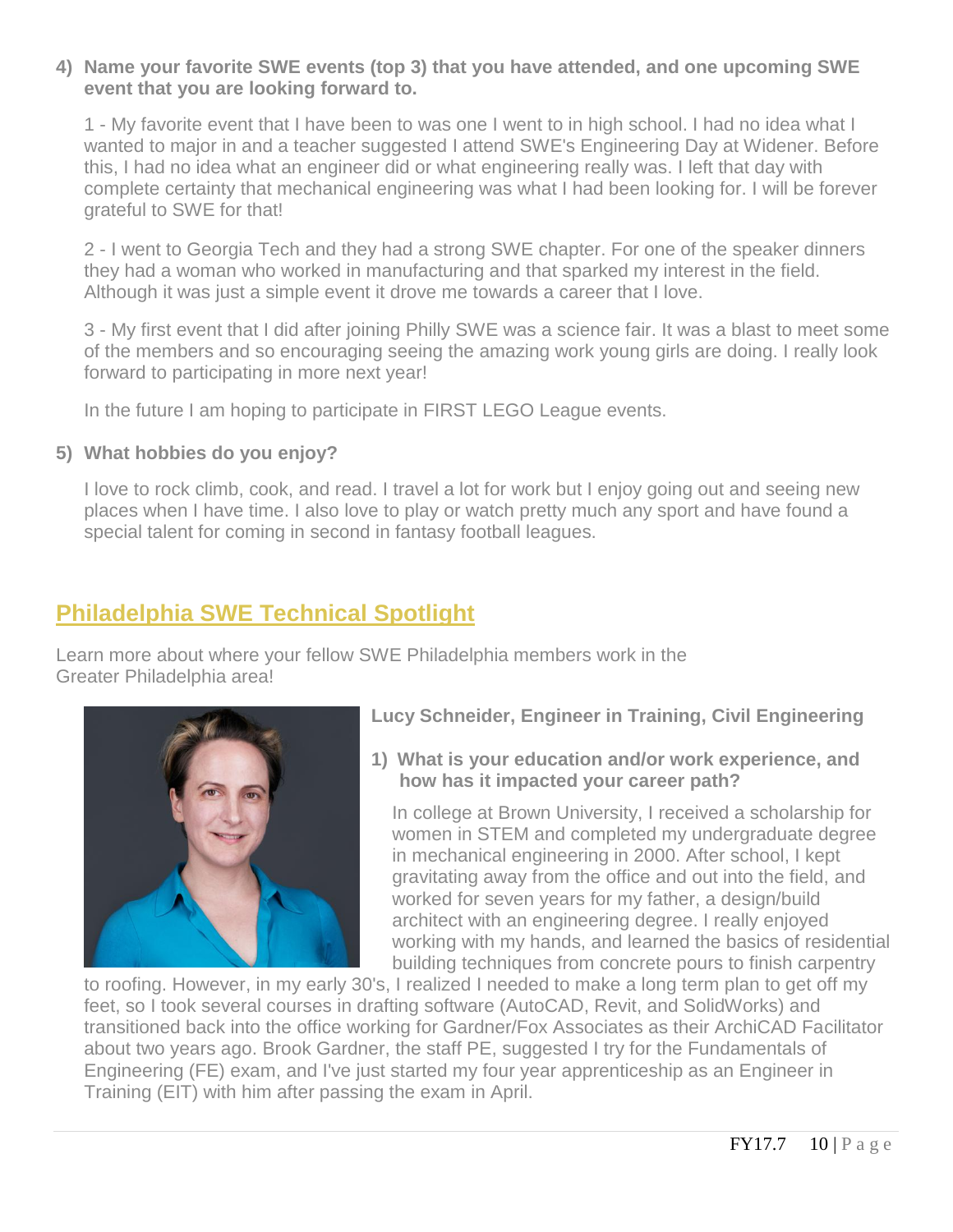#### **4) Name your favorite SWE events (top 3) that you have attended, and one upcoming SWE event that you are looking forward to.**

1 - My favorite event that I have been to was one I went to in high school. I had no idea what I wanted to major in and a teacher suggested I attend SWE's Engineering Day at Widener. Before this, I had no idea what an engineer did or what engineering really was. I left that day with complete certainty that mechanical engineering was what I had been looking for. I will be forever grateful to SWE for that!

2 - I went to Georgia Tech and they had a strong SWE chapter. For one of the speaker dinners they had a woman who worked in manufacturing and that sparked my interest in the field. Although it was just a simple event it drove me towards a career that I love.

3 - My first event that I did after joining Philly SWE was a science fair. It was a blast to meet some of the members and so encouraging seeing the amazing work young girls are doing. I really look forward to participating in more next year!

In the future I am hoping to participate in FIRST LEGO League events.

#### **5) What hobbies do you enjoy?**

I love to rock climb, cook, and read. I travel a lot for work but I enjoy going out and seeing new places when I have time. I also love to play or watch pretty much any sport and have found a special talent for coming in second in fantasy football leagues.

## **Philadelphia SWE Technical Spotlight**

Learn more about where your fellow SWE Philadelphia members work in the Greater Philadelphia area!



**Lucy Schneider, Engineer in Training, Civil Engineering**

**1) What is your education and/or work experience, and how has it impacted your career path?** 

In college at Brown University, I received a scholarship for women in STEM and completed my undergraduate degree in mechanical engineering in 2000. After school, I kept gravitating away from the office and out into the field, and worked for seven years for my father, a design/build architect with an engineering degree. I really enjoyed working with my hands, and learned the basics of residential building techniques from concrete pours to finish carpentry

to roofing. However, in my early 30's, I realized I needed to make a long term plan to get off my feet, so I took several courses in drafting software (AutoCAD, Revit, and SolidWorks) and transitioned back into the office working for Gardner/Fox Associates as their ArchiCAD Facilitator about two years ago. Brook Gardner, the staff PE, suggested I try for the Fundamentals of Engineering (FE) exam, and I've just started my four year apprenticeship as an Engineer in Training (EIT) with him after passing the exam in April.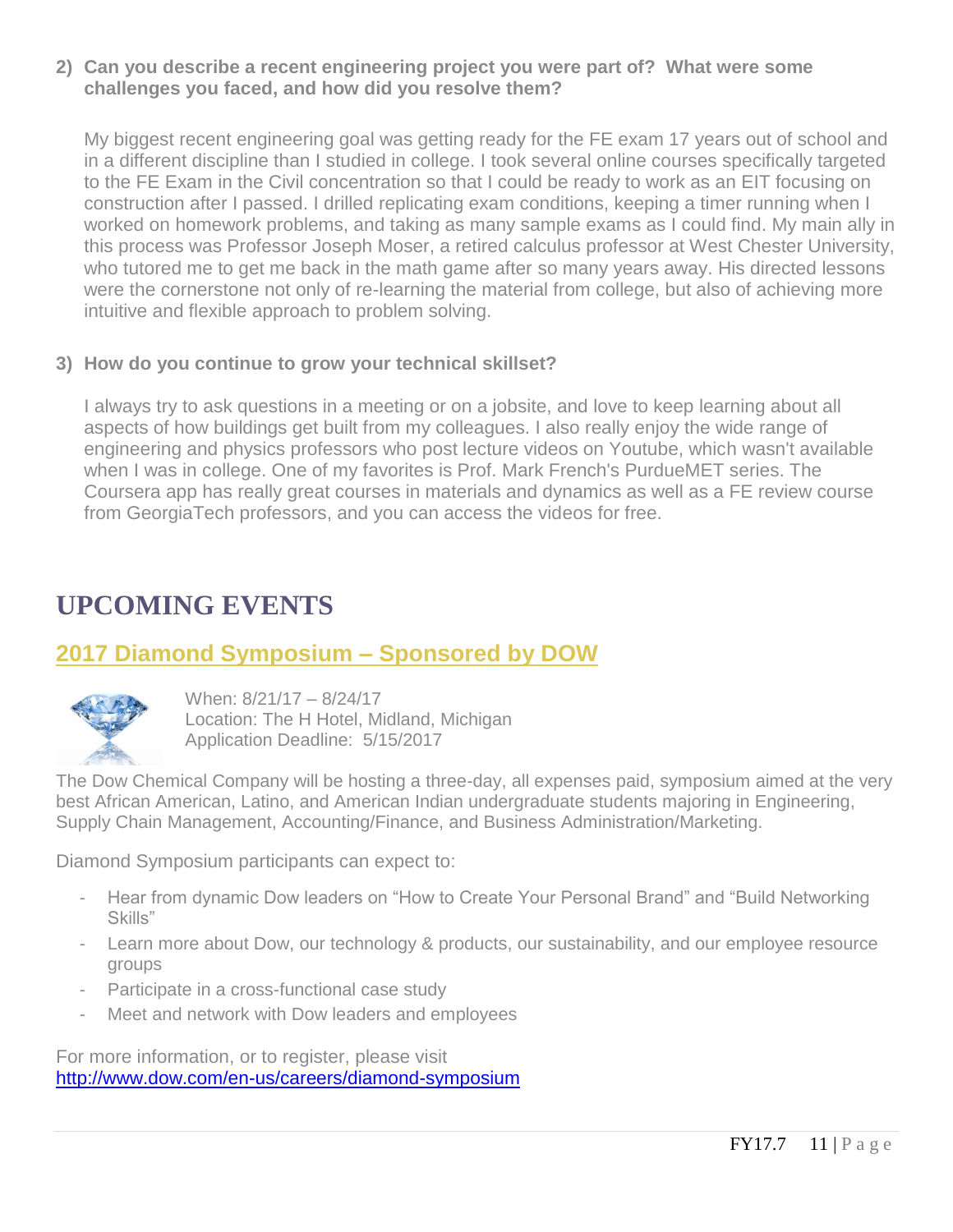#### **2) Can you describe a recent engineering project you were part of? What were some challenges you faced, and how did you resolve them?**

My biggest recent engineering goal was getting ready for the FE exam 17 years out of school and in a different discipline than I studied in college. I took several online courses specifically targeted to the FE Exam in the Civil concentration so that I could be ready to work as an EIT focusing on construction after I passed. I drilled replicating exam conditions, keeping a timer running when I worked on homework problems, and taking as many sample exams as I could find. My main ally in this process was Professor Joseph Moser, a retired calculus professor at West Chester University, who tutored me to get me back in the math game after so many years away. His directed lessons were the cornerstone not only of re-learning the material from college, but also of achieving more intuitive and flexible approach to problem solving.

#### **3) How do you continue to grow your technical skillset?**

I always try to ask questions in a meeting or on a jobsite, and love to keep learning about all aspects of how buildings get built from my colleagues. I also really enjoy the wide range of engineering and physics professors who post lecture videos on Youtube, which wasn't available when I was in college. One of my favorites is Prof. Mark French's PurdueMET series. The Coursera app has really great courses in materials and dynamics as well as a FE review course from GeorgiaTech professors, and you can access the videos for free.

# **UPCOMING EVENTS**

## **2017 Diamond Symposium – Sponsored by DOW**



When: 8/21/17 – 8/24/17 Location: The H Hotel, Midland, Michigan Application Deadline: 5/15/2017

The Dow Chemical Company will be hosting a three-day, all expenses paid, symposium aimed at the very best African American, Latino, and American Indian undergraduate students majoring in Engineering, Supply Chain Management, Accounting/Finance, and Business Administration/Marketing.

Diamond Symposium participants can expect to:

- Hear from dynamic Dow leaders on "How to Create Your Personal Brand" and "Build Networking Skills"
- Learn more about Dow, our technology & products, our sustainability, and our employee resource groups
- Participate in a cross-functional case study
- Meet and network with Dow leaders and employees

For more information, or to register, please visit <http://www.dow.com/en-us/careers/diamond-symposium>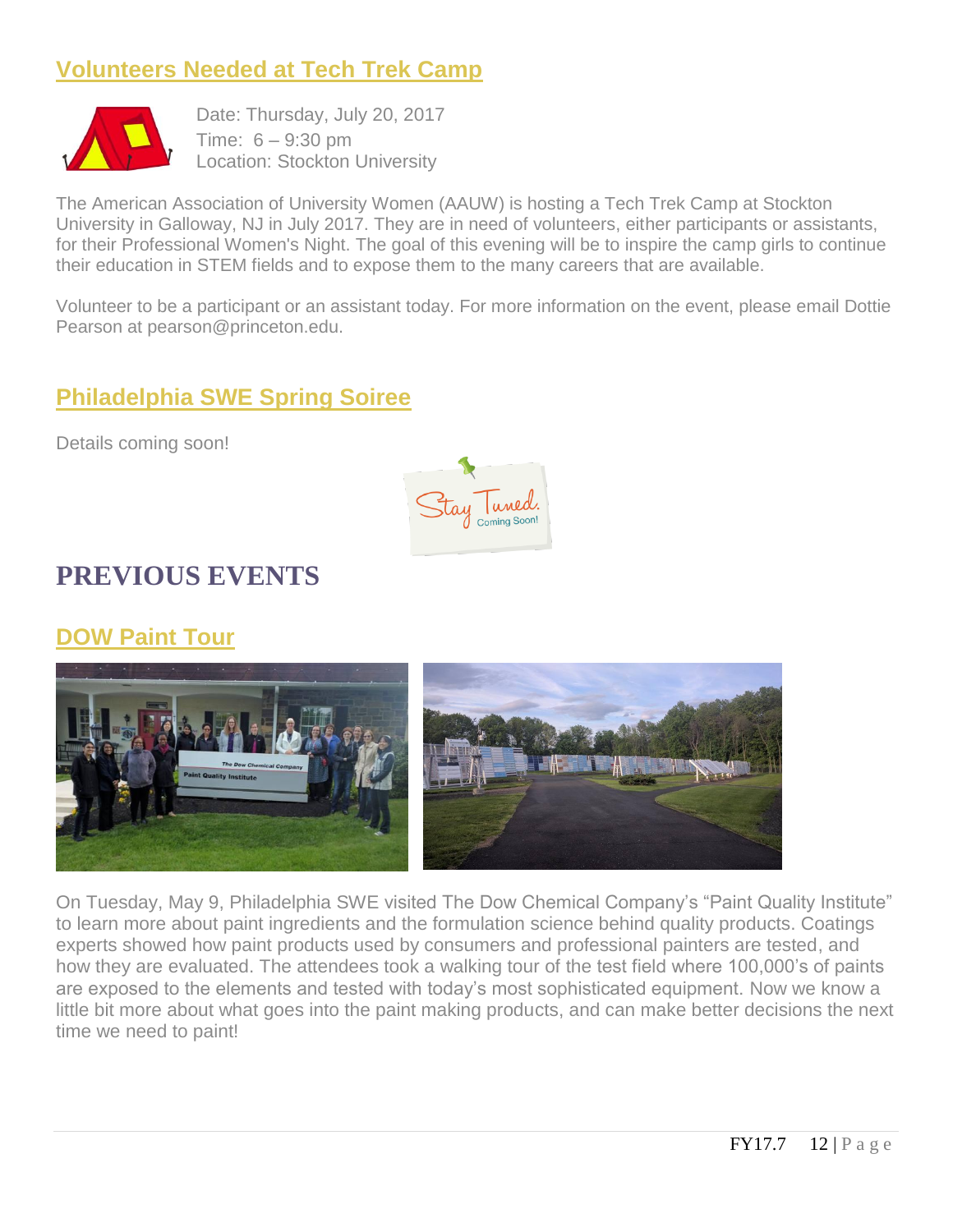## **Volunteers Needed at Tech Trek Camp**



Date: Thursday, July 20, 2017 Time: 6 – 9:30 pm Location: Stockton University

The American Association of University Women (AAUW) is hosting a Tech Trek Camp at Stockton University in Galloway, NJ in July 2017. They are in need of volunteers, either participants or assistants, for their Professional Women's Night. The goal of this evening will be to inspire the camp girls to continue their education in STEM fields and to expose them to the many careers that are available.

Volunteer to be a participant or an assistant today. For more information on the event, please email Dottie Pearson at pearson@princeton.edu.

## **Philadelphia SWE Spring Soiree**

Details coming soon!



# **PREVIOUS EVENTS**

## **DOW Paint Tour**



On Tuesday, May 9, Philadelphia SWE visited The Dow Chemical Company's "Paint Quality Institute" to learn more about paint ingredients and the formulation science behind quality products. Coatings experts showed how paint products used by consumers and professional painters are tested, and how they are evaluated. The attendees took a walking tour of the test field where 100,000's of paints are exposed to the elements and tested with today's most sophisticated equipment. Now we know a little bit more about what goes into the paint making products, and can make better decisions the next time we need to paint!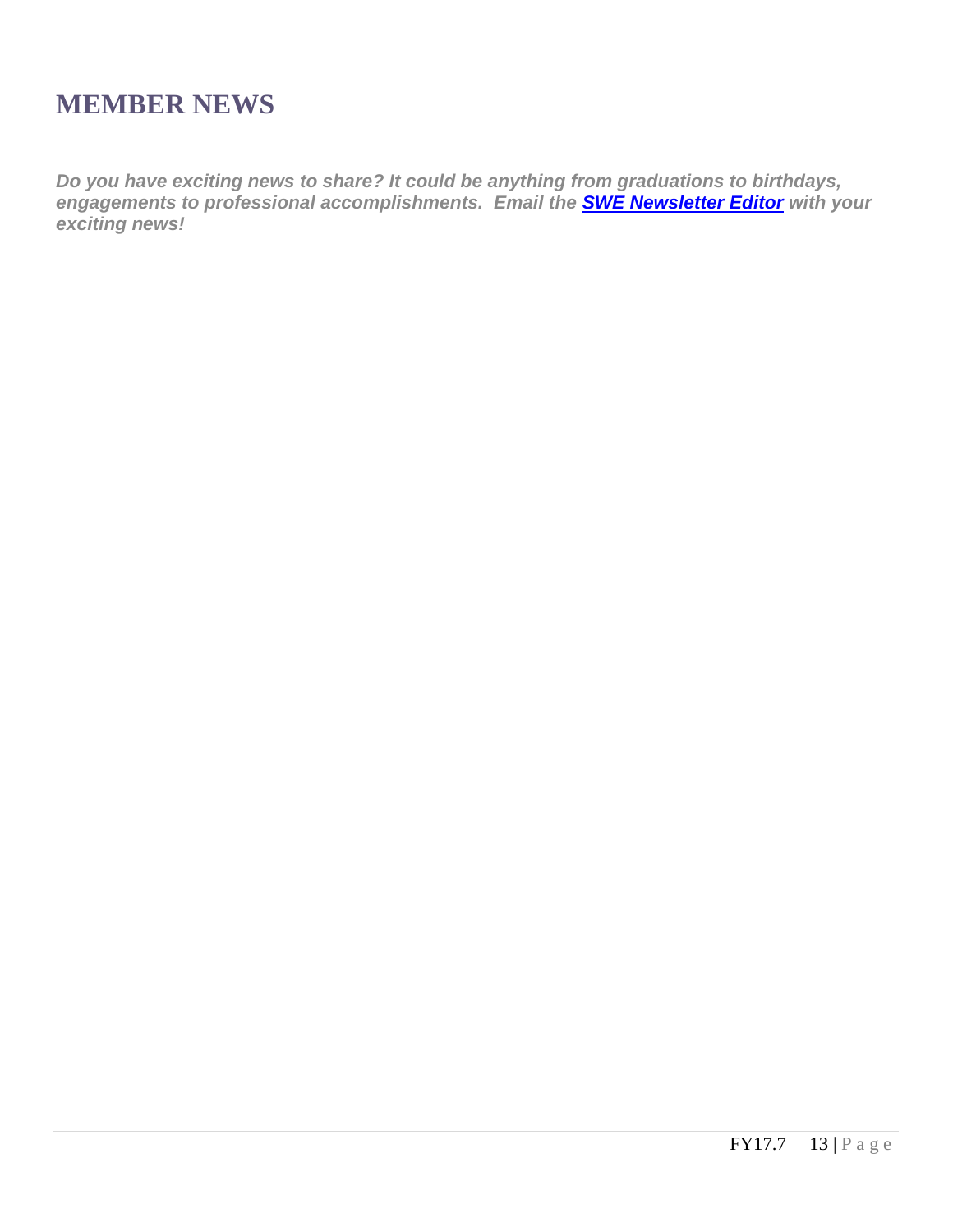# **MEMBER NEWS**

*Do you have exciting news to share? It could be anything from graduations to birthdays, engagements to professional accomplishments. Email the [SWE Newsletter Editor](mailto:philasweeditors@gmail.com) with your exciting news!*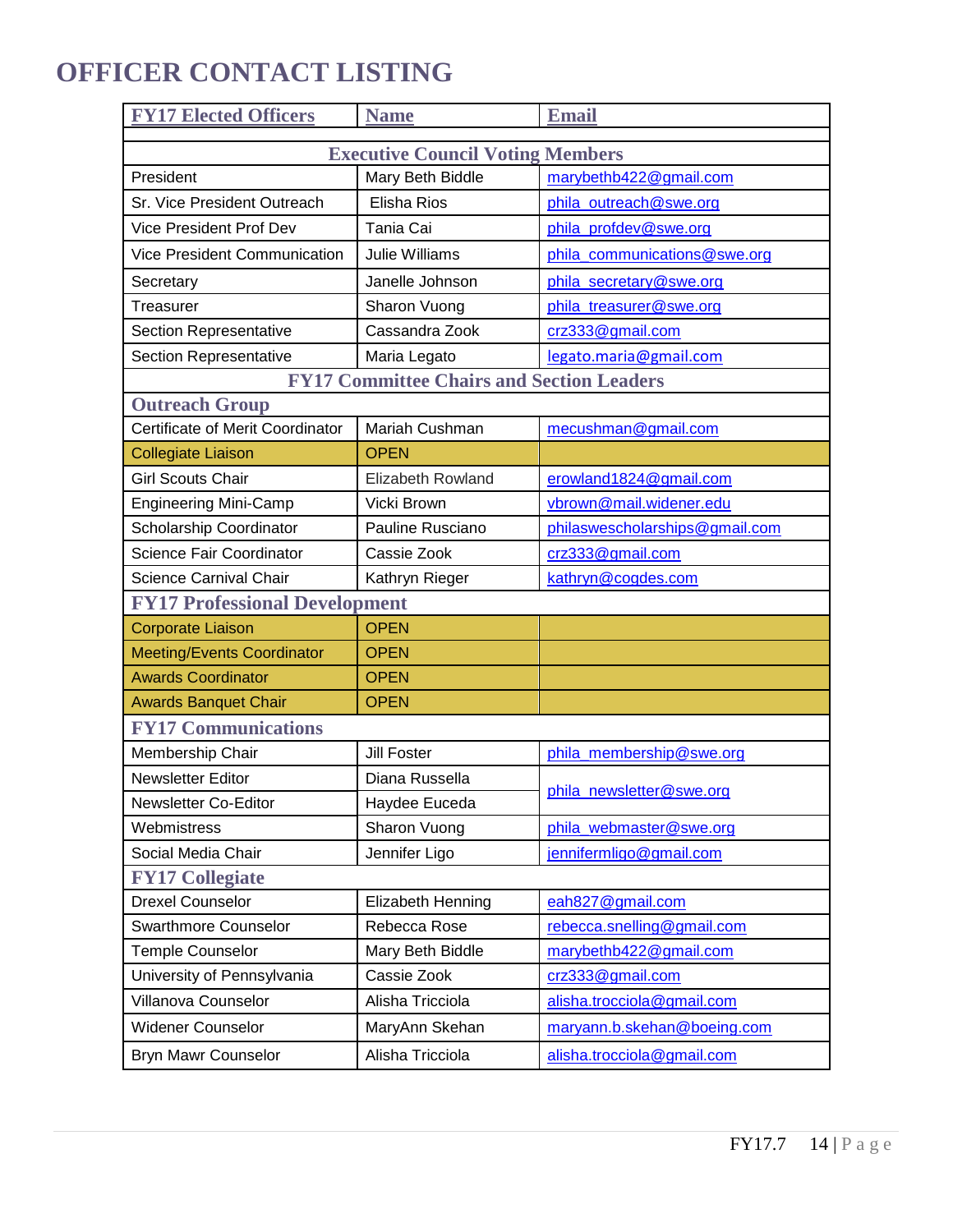# **OFFICER CONTACT LISTING**

| <b>FY17 Elected Officers</b>            | <b>Name</b>                                      | <b>Email</b>                   |
|-----------------------------------------|--------------------------------------------------|--------------------------------|
| <b>Executive Council Voting Members</b> |                                                  |                                |
| President                               | Mary Beth Biddle                                 | marybethb422@gmail.com         |
| Sr. Vice President Outreach             | <b>Elisha Rios</b>                               | phila outreach@swe.org         |
| <b>Vice President Prof Dev</b>          | Tania Cai                                        | phila_profdev@swe.org          |
| Vice President Communication            | Julie Williams                                   | phila_communications@swe.org   |
| Secretary                               | Janelle Johnson                                  | phila secretary@swe.org        |
| Treasurer                               | Sharon Vuong                                     | phila_treasurer@swe.org        |
| <b>Section Representative</b>           | Cassandra Zook                                   | crz333@gmail.com               |
| <b>Section Representative</b>           | Maria Legato                                     | legato.maria@gmail.com         |
|                                         | <b>FY17 Committee Chairs and Section Leaders</b> |                                |
| <b>Outreach Group</b>                   |                                                  |                                |
| Certificate of Merit Coordinator        | Mariah Cushman                                   | mecushman@gmail.com            |
| <b>Collegiate Liaison</b>               | <b>OPEN</b>                                      |                                |
| <b>Girl Scouts Chair</b>                | <b>Elizabeth Rowland</b>                         | erowland1824@gmail.com         |
| <b>Engineering Mini-Camp</b>            | Vicki Brown                                      | vbrown@mail.widener.edu        |
| Scholarship Coordinator                 | Pauline Rusciano                                 | philaswescholarships@gmail.com |
| Science Fair Coordinator                | Cassie Zook                                      | crz333@gmail.com               |
| <b>Science Carnival Chair</b>           | Kathryn Rieger                                   | kathryn@cogdes.com             |
| <b>FY17 Professional Development</b>    |                                                  |                                |
| <b>Corporate Liaison</b>                | <b>OPEN</b>                                      |                                |
| <b>Meeting/Events Coordinator</b>       | <b>OPEN</b>                                      |                                |
| <b>Awards Coordinator</b>               | <b>OPEN</b>                                      |                                |
| <b>Awards Banquet Chair</b>             | <b>OPEN</b>                                      |                                |
| <b>FY17 Communications</b>              |                                                  |                                |
| Membership Chair                        | <b>Jill Foster</b>                               | phila_membership@swe.org       |
| Newsletter Editor                       | Diana Russella                                   | phila_newsletter@swe.org       |
| Newsletter Co-Editor                    | Haydee Euceda                                    |                                |
| Webmistress                             | Sharon Vuong                                     | phila_webmaster@swe.org        |
| Social Media Chair                      | Jennifer Ligo                                    | jennifermligo@gmail.com        |
| <b>FY17 Collegiate</b>                  |                                                  |                                |
| <b>Drexel Counselor</b>                 | Elizabeth Henning                                | eah827@gmail.com               |
| <b>Swarthmore Counselor</b>             | Rebecca Rose                                     | rebecca.snelling@gmail.com     |
| <b>Temple Counselor</b>                 | Mary Beth Biddle                                 | marybethb422@gmail.com         |
| University of Pennsylvania              | Cassie Zook                                      | crz333@gmail.com               |
| Villanova Counselor                     | Alisha Tricciola                                 | alisha.trocciola@gmail.com     |
| <b>Widener Counselor</b>                | MaryAnn Skehan                                   | maryann.b.skehan@boeing.com    |
| Bryn Mawr Counselor                     | Alisha Tricciola                                 | alisha.trocciola@gmail.com     |